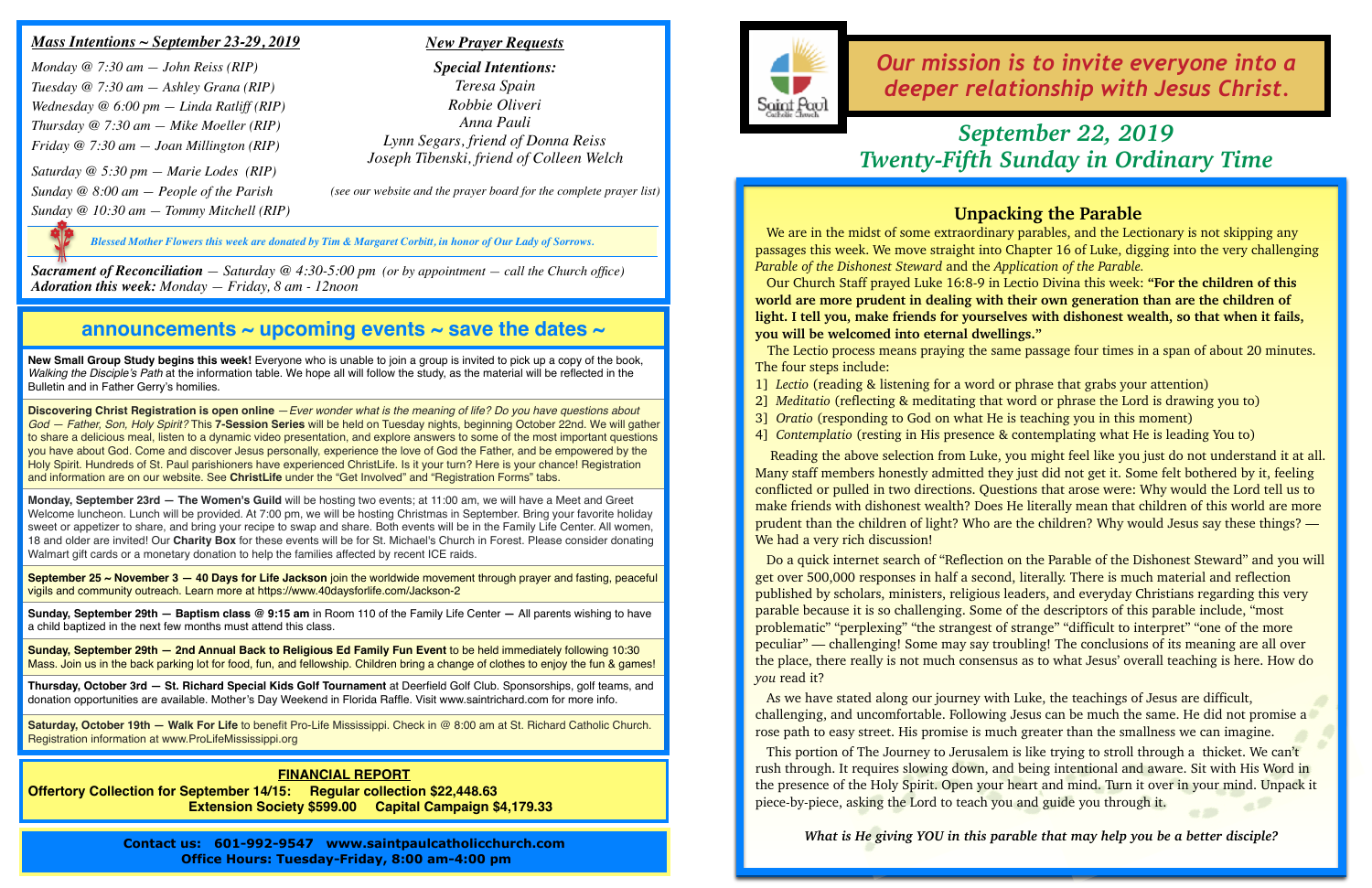## **announcements ~ upcoming events ~ save the dates ~**

**New Small Group Study begins this week!** Everyone who is unable to join a group is invited to pick up a copy of the book, *Walking the Disciple's Path* at the information table. We hope all will follow the study, as the material will be reflected in the Bulletin and in Father Gerry's homilies.

**Discovering Christ Registration is open online** —*Ever wonder what is the meaning of life? Do you have questions about God — Father, Son, Holy Spirit?* This **7-Session Series** will be held on Tuesday nights, beginning October 22nd. We will gather to share a delicious meal, listen to a dynamic video presentation, and explore answers to some of the most important questions you have about God. Come and discover Jesus personally, experience the love of God the Father, and be empowered by the Holy Spirit. Hundreds of St. Paul parishioners have experienced ChristLife. Is it your turn? Here is your chance! Registration and information are on our website. See **ChristLife** under the "Get Involved" and "Registration Forms" tabs.

**Monday, September 23rd — The Women's Guild** will be hosting two events; at 11:00 am, we will have a Meet and Greet Welcome luncheon. Lunch will be provided. At 7:00 pm, we will be hosting Christmas in September. Bring your favorite holiday sweet or appetizer to share, and bring your recipe to swap and share. Both events will be in the Family Life Center. All women, 18 and older are invited! Our **Charity Box** for these events will be for St. Michael's Church in Forest. Please consider donating Walmart gift cards or a monetary donation to help the families affected by recent ICE raids.

**September 25 ~ November 3 — 40 Days for Life Jackson** join the worldwide movement through prayer and fasting, peaceful vigils and community outreach. Learn more at https://www.40daysforlife.com/Jackson-2

**Sunday, September 29th — Baptism class @ 9:15 am** in Room 110 of the Family Life Center **—** All parents wishing to have a child baptized in the next few months must attend this class.

We are in the midst of some extraordinary parables, and the Lectionary is not skipping any passages this week. We move straight into Chapter 16 of Luke, digging into the very challenging *Parable of the Dishonest Steward* and the *Application of the Parable.*

**Sunday, September 29th — 2nd Annual Back to Religious Ed Family Fun Event** to be held immediately following 10:30 Mass. Join us in the back parking lot for food, fun, and fellowship. Children bring a change of clothes to enjoy the fun & games!

**Thursday, October 3rd — St. Richard Special Kids Golf Tournament** at Deerfield Golf Club. Sponsorships, golf teams, and donation opportunities are available. Mother's Day Weekend in Florida Raffle. Visit www.saintrichard.com for more info.

 Reading the above selection from Luke, you might feel like you just do not understand it at all. Many staff members honestly admitted they just did not get it. Some felt bothered by it, feeling conflicted or pulled in two directions. Questions that arose were: Why would the Lord tell us to make friends with dishonest wealth? Does He literally mean that children of this world are more prudent than the children of light? Who are the children? Why would Jesus say these things? — We had a very rich discussion!

**Saturday, October 19th — Walk For Life** to benefit Pro-Life Mississippi. Check in @ 8:00 am at St. Richard Catholic Church. Registration information at www.ProLifeMississippi.org

*Our mission is to invite everyone into a deeper relationship with Jesus Christ.*

### *Mass Intentions ~ September 23-29, 2019*

*Monday @ 7:30 am — John Reiss (RIP) Tuesday @ 7:30 am — Ashley Grana (RIP) Wednesday @ 6:00 pm — Linda Ratliff (RIP) Thursday @ 7:30 am — Mike Moeller (RIP) Friday @ 7:30 am — Joan Millington (RIP) Saturday @ 5:30 pm — Marie Lodes (RIP) Sunday @ 8:00 am — People of the Parish Sunday @ 10:30 am — Tommy Mitchell (RIP)*

*Sacrament of Reconciliation — Saturday @ 4:30-5:00 pm (or by appointment — call the Church office) Adoration this week: Monday — Friday, 8 am - 12noon*

### *New Prayer Requests*

*Special Intentions: Teresa Spain Robbie Oliveri Anna Pauli Lynn Segars, friend of Donna Reiss Joseph Tibenski, friend of Colleen Welch*

> This portion of The Journey to Jerusalem is like trying to stroll through a thicket. We can't rush through. It requires slowing down, and being intentional and aware. Sit with His Word in the presence of the Holy Spirit. Open your heart and mind. Turn it over in your mind. Unpack it piece-by-piece, asking the Lord to teach you and guide you through it.

*(see our website and the prayer board for the complete prayer list)*

# *September 22, 2019 Twenty-Fifth Sunday in Ordinary Time*

#### **FINANCIAL REPORT**

**Offertory Collection for September 14/15: Regular collection \$22,448.63 Extension Society \$599.00 Capital Campaign \$4,179.33**

> **Contact us: 601-992-9547 www.saintpaulcatholicchurch.com Office Hours: Tuesday-Friday, 8:00 am-4:00 pm**



*Blessed Mother Flowers this week are donated by Tim & Margaret Corbitt, in honor of Our Lady of Sorrows.*

## **Unpacking the Parable**

 Our Church Staff prayed Luke 16:8-9 in Lectio Divina this week: **"For the children of this world are more prudent in dealing with their own generation than are the children of light. I tell you, make friends for yourselves with dishonest wealth, so that when it fails, you will be welcomed into eternal dwellings."** 

The Lectio process means praying the same passage four times in a span of about 20 minutes. The four steps include:

- 1] *Lectio* (reading & listening for a word or phrase that grabs your attention)
- 
- 3] *Oratio* (responding to God on what He is teaching you in this moment)
- 

2] *Meditatio* (reflecting & meditating that word or phrase the Lord is drawing you to) 4] *Contemplatio* (resting in His presence & contemplating what He is leading You to)

 Do a quick internet search of "Reflection on the Parable of the Dishonest Steward" and you will get over 500,000 responses in half a second, literally. There is much material and reflection published by scholars, ministers, religious leaders, and everyday Christians regarding this very parable because it is so challenging. Some of the descriptors of this parable include, "most problematic" "perplexing" "the strangest of strange" "difficult to interpret" "one of the more peculiar" — challenging! Some may say troubling! The conclusions of its meaning are all over the place, there really is not much consensus as to what Jesus' overall teaching is here. How do *you* read it?

 As we have stated along our journey with Luke, the teachings of Jesus are difficult, challenging, and uncomfortable. Following Jesus can be much the same. He did not promise a rose path to easy street. His promise is much greater than the smallness we can imagine.

*What is He giving YOU in this parable that may help you be a better disciple?*